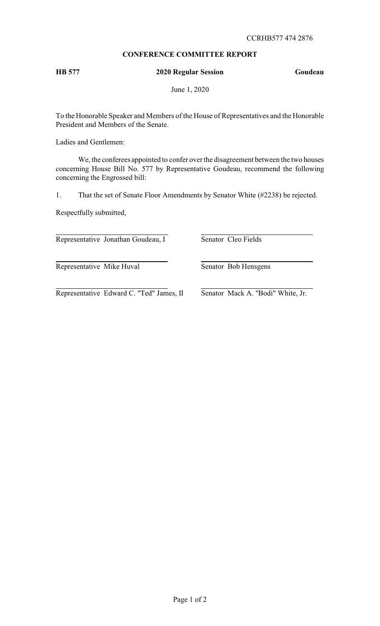# **CONFERENCE COMMITTEE REPORT**

# **HB 577 2020 Regular Session Goudeau**

June 1, 2020

To the Honorable Speaker and Members of the House of Representatives and the Honorable President and Members of the Senate.

Ladies and Gentlemen:

We, the conferees appointed to confer over the disagreement between the two houses concerning House Bill No. 577 by Representative Goudeau, recommend the following concerning the Engrossed bill:

1. That the set of Senate Floor Amendments by Senator White (#2238) be rejected.

Respectfully submitted,

Representative Jonathan Goudeau, I Senator Cleo Fields

Representative Mike Huval Senator Bob Hensgens

Representative Edward C. "Ted" James, II Senator Mack A. "Bodi" White, Jr.